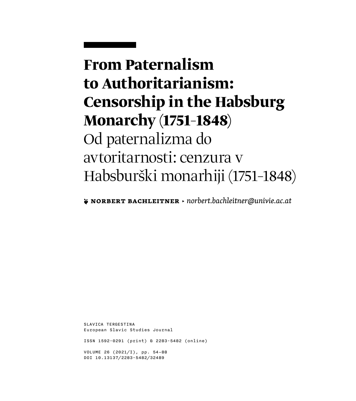# **From Paternalism to Authoritarianism: Censorship in the Habsburg Monarchy (1751–1848)** Od paternalizma do avtoritarnosti: cenzura v Habsburški monarhiji (1751–1848)

**❦ Norbert Bachleitner** ▶ *[norbert.bachleitner@univie.ac.at](mailto:norbert.bachleitner%40univie.ac.at?subject=)*

SLAVICA TERGESTINA European Slavic Studies Journal

ISSN 1592-0291 (print) & 2283-5482 (online)

VOLUME 26 (2021/I), pp. 54–88 DOI 10.13137/2283-5482/32489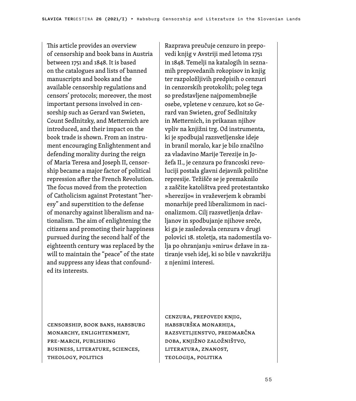This article provides an overview of censorship and book bans in Austria between 1751 and 1848. It is based on the catalogues and lists of banned manuscripts and books and the available censorship regulations and censors' protocols; moreover, the most important persons involved in censorship such as Gerard van Swieten, Count Sedlnitzky, and Metternich are introduced, and their impact on the book trade is shown. From an instrument encouraging Enlightenment and defending morality during the reign of Maria Teresa and Joseph II, censorship became a major factor of political repression after the French Revolution. The focus moved from the protection of Catholicism against Protestant "heresy" and superstition to the defense of monarchy against liberalism and nationalism. The aim of enlightening the citizens and promoting their happiness pursued during the second half of the eighteenth century was replaced by the will to maintain the "peace" of the state and suppress any ideas that confounded its interests.

Razprava preučuje cenzuro in prepovedi knjig v Avstriji med letoma 1751 in 1848. Temelji na katalogih in seznamih prepovedanih rokopisov in knjig ter razpoložljivih predpisih o cenzuri in cenzorskih protokolih; poleg tega so predstavljene najpomembnejše osebe, vpletene v cenzuro, kot so Gerard van Swieten, grof Sedlnitzky in Metternich, in prikazan njihov vpliv na knjižni trg. Od instrumenta, ki je spodbujal razsvetljenske ideje in branil moralo, kar je bilo značilno za vladavino Marije Terezije in Jožefa II., je cenzura po francoski revoluciji postala glavni dejavnik politične represije. Težišče se je premaknilo z zaščite katolištva pred protestantsko »herezijo« in vraževerjem k obrambi monarhije pred liberalizmom in nacionalizmom. Cilj razsvetljenja državljanov in spodbujanje njihove sreče, ki ga je zasledovala cenzura v drugi polovici 18. stoletja, sta nadomestila volja po ohranjanju »miru« države in zatiranje vseh idej, ki so bile v navzkrižju z njenimi interesi.

censorship, book bans, Habsburg Monarchy, Enlightenment, pre-March, publishing business, literature, sciences, theology, politics

cenzura, prepovedi knjig, Habsburška monarhija, razsvetljenstvo, predmarčna doba, knjižno založništvo, literatura, znanost, teologija, politika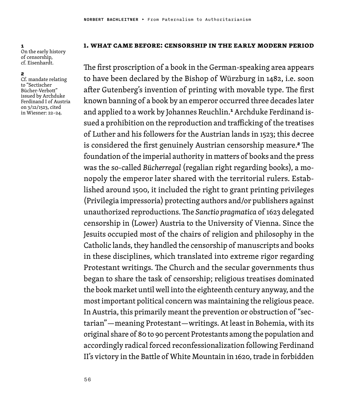1 On the early history of censorship, cf. Eisenhardt.

#### 2

Cf. mandate relating to "Sectischer Bücher-Verbott" issued by Archduke Ferdinand I of Austria on 3/12/1523, cited in Wiesner: 22–24.

#### **1. What Came Before: Censorship in the Early Modern Period**

The first proscription of a book in the German-speaking area appears to have been declared by the Bishop of Würzburg in 1482, i.e. soon after Gutenberg's invention of printing with movable type. The first known banning of a book by an emperor occurred three decades later and applied to a work by Johannes Reuchlin.<sup>1</sup> Archduke Ferdinand issued a prohibition on the reproduction and trafficking of the treatises of Luther and his followers for the Austrian lands in 1523; this decree is considered the first genuinely Austrian censorship measure.<sup>2</sup> The foundation of the imperial authority in matters of books and the press was the so-called *Bücherregal* (regalian right regarding books), a monopoly the emperor later shared with the territorial rulers. Established around 1500, it included the right to grant printing privileges (Privilegia impressoria) protecting authors and/or publishers against unauthorized reproductions. The *Sanctio pragmatica* of 1623 delegated censorship in (Lower) Austria to the University of Vienna. Since the Jesuits occupied most of the chairs of religion and philosophy in the Catholic lands, they handled the censorship of manuscripts and books in these disciplines, which translated into extreme rigor regarding Protestant writings. The Church and the secular governments thus began to share the task of censorship; religious treatises dominated the book market until well into the eighteenth century anyway, and the most important political concern was maintaining the religious peace. In Austria, this primarily meant the prevention or obstruction of "sectarian"—meaning Protestant—writings. At least in Bohemia, with its original share of 80 to 90 percent Protestants among the population and accordingly radical forced reconfessionalization following Ferdinand II's victory in the Battle of White Mountain in 1620, trade in forbidden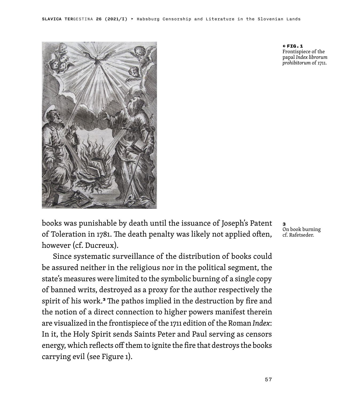

books was punishable by death until the issuance of Joseph's Patent of Toleration in 1781. The death penalty was likely not applied often, however (cf. Ducreux).

Since systematic surveillance of the distribution of books could be assured neither in the religious nor in the political segment, the state's measures were limited to the symbolic burning of a single copy of banned writs, destroyed as a proxy for the author respectively the spirit of his work.<sup>3</sup> The pathos implied in the destruction by fire and the notion of a direct connection to higher powers manifest therein are visualized in the frontispiece of the 1711 edition of the Roman *Index*: In it, the Holy Spirit sends Saints Peter and Paul serving as censors energy, which reflects off them to ignite the fire that destroys the books carrying evil (see Figure 1).

← FIG.1 Frontispiece of the papal *Index librorum prohibitorum* of 1711.

3 On book burning cf. Rafetseder.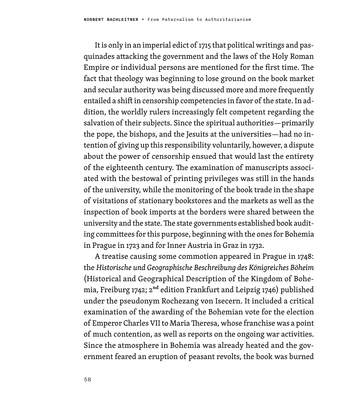It is only in an imperial edict of 1715 that political writings and pasquinades attacking the government and the laws of the Holy Roman Empire or individual persons are mentioned for the first time. The fact that theology was beginning to lose ground on the book market and secular authority was being discussed more and more frequently entailed a shift in censorship competencies in favor of the state. In addition, the worldly rulers increasingly felt competent regarding the salvation of their subjects. Since the spiritual authorities—primarily the pope, the bishops, and the Jesuits at the universities—had no intention of giving up this responsibility voluntarily, however, a dispute about the power of censorship ensued that would last the entirety of the eighteenth century. The examination of manuscripts associated with the bestowal of printing privileges was still in the hands of the university, while the monitoring of the book trade in the shape of visitations of stationary bookstores and the markets as well as the inspection of book imports at the borders were shared between the university and the state. The state governments established book auditing committees for this purpose, beginning with the ones for Bohemia in Prague in 1723 and for Inner Austria in Graz in 1732.

A treatise causing some commotion appeared in Prague in 1748: the *Historische und Geographische Beschreibung des Königreiches Böheim* (Historical and Geographical Description of the Kingdom of Bohemia, Freiburg 1742;  $2<sup>nd</sup>$  edition Frankfurt and Leipzig 1746) published under the pseudonym Rochezang von Isecern. It included a critical examination of the awarding of the Bohemian vote for the election of Emperor Charles VII to Maria Theresa, whose franchise was a point of much contention, as well as reports on the ongoing war activities. Since the atmosphere in Bohemia was already heated and the government feared an eruption of peasant revolts, the book was burned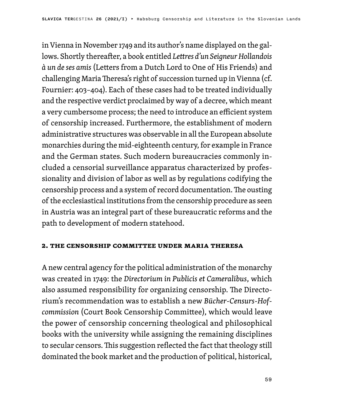in Vienna in November 1749 and its author's name displayed on the gallows. Shortly thereafter, a book entitled *Lettres d'un Seigneur Hollandois à un de ses amis* (Letters from a Dutch Lord to One of His Friends) and challenging Maria Theresa's right of succession turned up in Vienna (cf. Fournier: 403–404). Each of these cases had to be treated individually and the respective verdict proclaimed by way of a decree, which meant a very cumbersome process; the need to introduce an efficient system of censorship increased. Furthermore, the establishment of modern administrative structures was observable in all the European absolute monarchies during the mid-eighteenth century, for example in France and the German states. Such modern bureaucracies commonly included a censorial surveillance apparatus characterized by professionality and division of labor as well as by regulations codifying the censorship process and a system of record documentation. The ousting of the ecclesiastical institutions from the censorship procedure as seen in Austria was an integral part of these bureaucratic reforms and the path to development of modern statehood.

### **2. The Censorship Committee under Maria Theresa**

A new central agency for the political administration of the monarchy was created in 1749: the *Directorium in Publicis et Cameralibus*, which also assumed responsibility for organizing censorship. The Directorium's recommendation was to establish a new *Bücher-Censurs-Hofcommission* (Court Book Censorship Committee), which would leave the power of censorship concerning theological and philosophical books with the university while assigning the remaining disciplines to secular censors. This suggestion reflected the fact that theology still dominated the book market and the production of political, historical,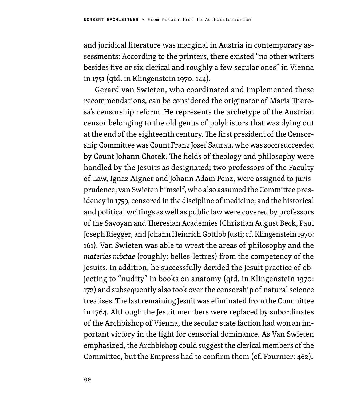and juridical literature was marginal in Austria in contemporary assessments: According to the printers, there existed "no other writers besides five or six clerical and roughly a few secular ones" in Vienna in 1751 (qtd. in Klingenstein 1970: 144).

Gerard van Swieten, who coordinated and implemented these recommendations, can be considered the originator of Maria Theresa's censorship reform. He represents the archetype of the Austrian censor belonging to the old genus of polyhistors that was dying out at the end of the eighteenth century. The first president of the Censorship Committee was Count Franz Josef Saurau, who was soon succeeded by Count Johann Chotek. The fields of theology and philosophy were handled by the Jesuits as designated; two professors of the Faculty of Law, Ignaz Aigner and Johann Adam Penz, were assigned to jurisprudence; van Swieten himself, who also assumed the Committee presidency in 1759, censored in the discipline of medicine; and the historical and political writings as well as public law were covered by professors of the Savoyan and Theresian Academies (Christian August Beck, Paul Joseph Riegger, and Johann Heinrich Gottlob Justi; cf. Klingenstein 1970: 161). Van Swieten was able to wrest the areas of philosophy and the *materies mixtae* (roughly: belles-lettres) from the competency of the Jesuits. In addition, he successfully derided the Jesuit practice of objecting to "nudity" in books on anatomy (qtd. in Klingenstein 1970: 172) and subsequently also took over the censorship of natural science treatises. The last remaining Jesuit was eliminated from the Committee in 1764. Although the Jesuit members were replaced by subordinates of the Archbishop of Vienna, the secular state faction had won an important victory in the fight for censorial dominance. As Van Swieten emphasized, the Archbishop could suggest the clerical members of the Committee, but the Empress had to confirm them (cf. Fournier: 462).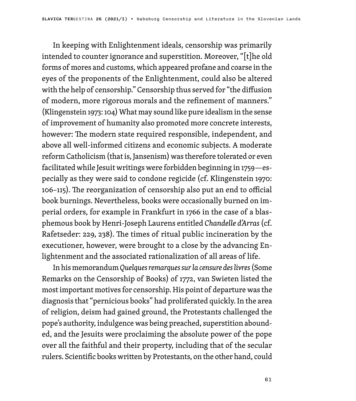In keeping with Enlightenment ideals, censorship was primarily intended to counter ignorance and superstition. Moreover, "[t]he old forms of mores and customs, which appeared profane and coarse in the eyes of the proponents of the Enlightenment, could also be altered with the help of censorship." Censorship thus served for "the diffusion of modern, more rigorous morals and the refinement of manners." (Klingenstein 1973: 104) What may sound like pure idealism in the sense of improvement of humanity also promoted more concrete interests, however: The modern state required responsible, independent, and above all well-informed citizens and economic subjects. A moderate reform Catholicism (that is, Jansenism) was therefore tolerated or even facilitated while Jesuit writings were forbidden beginning in 1759—especially as they were said to condone regicide (cf. Klingenstein 1970: 106–115). The reorganization of censorship also put an end to official book burnings. Nevertheless, books were occasionally burned on imperial orders, for example in Frankfurt in 1766 in the case of a blasphemous book by Henri-Joseph Laurens entitled *Chandelle d'Arras* (cf. Rafetseder: 229, 238). The times of ritual public incineration by the executioner, however, were brought to a close by the advancing Enlightenment and the associated rationalization of all areas of life.

In his memorandum *Quelques remarques sur la censure des livres* (Some Remarks on the Censorship of Books) of 1772, van Swieten listed the most important motives for censorship. His point of departure was the diagnosis that "pernicious books" had proliferated quickly. In the area of religion, deism had gained ground, the Protestants challenged the pope's authority, indulgence was being preached, superstition abounded, and the Jesuits were proclaiming the absolute power of the pope over all the faithful and their property, including that of the secular rulers. Scientific books written by Protestants, on the other hand, could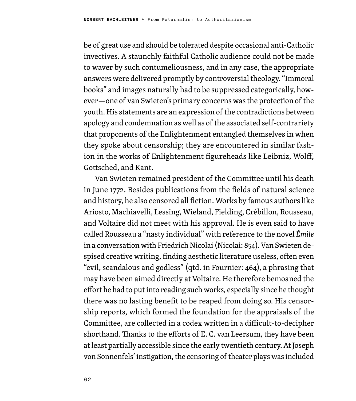be of great use and should be tolerated despite occasional anti-Catholic invectives. A staunchly faithful Catholic audience could not be made to waver by such contumeliousness, and in any case, the appropriate answers were delivered promptly by controversial theology. "Immoral books" and images naturally had to be suppressed categorically, however—one of van Swieten's primary concerns was the protection of the youth. His statements are an expression of the contradictions between apology and condemnation as well as of the associated self-contrariety that proponents of the Enlightenment entangled themselves in when they spoke about censorship; they are encountered in similar fashion in the works of Enlightenment figureheads like Leibniz, Wolff, Gottsched, and Kant.

Van Swieten remained president of the Committee until his death in June 1772. Besides publications from the fields of natural science and history, he also censored all fiction. Works by famous authors like Ariosto, Machiavelli, Lessing, Wieland, Fielding, Crébillon, Rousseau, and Voltaire did not meet with his approval. He is even said to have called Rousseau a "nasty individual" with reference to the novel *Émile* in a conversation with Friedrich Nicolai (Nicolai: 854). Van Swieten despised creative writing, finding aesthetic literature useless, often even "evil, scandalous and godless" (qtd. in Fournier: 464), a phrasing that may have been aimed directly at Voltaire. He therefore bemoaned the effort he had to put into reading such works, especially since he thought there was no lasting benefit to be reaped from doing so. His censorship reports, which formed the foundation for the appraisals of the Committee, are collected in a codex written in a difficult-to-decipher shorthand. Thanks to the efforts of E. C. van Leersum, they have been at least partially accessible since the early twentieth century. At Joseph von Sonnenfels' instigation, the censoring of theater plays was included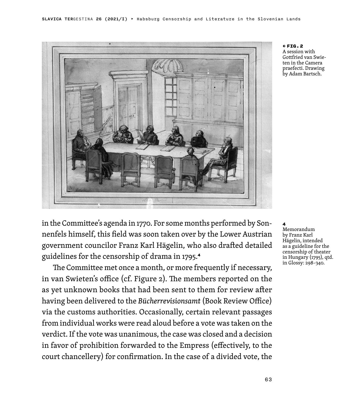

← FIG.2 A session with Gottfried van Swieten in the Camera praefecti. Drawing by Adam Bartsch.

in the Committee's agenda in 1770. For some months performed by Sonnenfels himself, this field was soon taken over by the Lower Austrian government councilor Franz Karl Hägelin, who also drafted detailed guidelines for the censorship of drama in 1795.<sup>4</sup>

The Committee met once a month, or more frequently if necessary, in van Swieten's office (cf. Figure 2). The members reported on the as yet unknown books that had been sent to them for review after having been delivered to the *Bücherrevisionsamt* (Book Review Office) via the customs authorities. Occasionally, certain relevant passages from individual works were read aloud before a vote was taken on the verdict. If the vote was unanimous, the case was closed and a decision in favor of prohibition forwarded to the Empress (effectively, to the court chancellery) for confirmation. In the case of a divided vote, the

### 4

Memorandum by Franz Karl Hägelin, intended as a guideline for the censorship of theater in Hungary (1795), qtd. in Glossy: 298–340.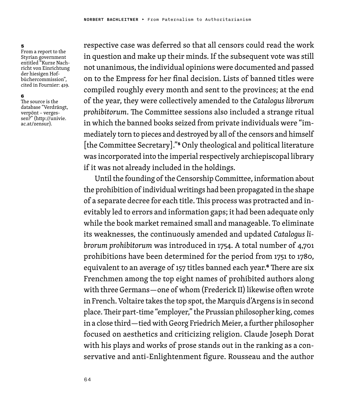#### 5

From a report to the Styrian government entitled "Kurze Nachricht von Einrichtung der hiesigen Hofbüchercommission", cited in Fournier: 419.

#### 6

The source is the database "Verdrängt, verpönt – vergessen?" (http://univie. ac.at/zensur).

respective case was deferred so that all censors could read the work in question and make up their minds. If the subsequent vote was still not unanimous, the individual opinions were documented and passed on to the Empress for her final decision. Lists of banned titles were compiled roughly every month and sent to the provinces; at the end of the year, they were collectively amended to the *Catalogus librorum prohibitorum*. The Committee sessions also included a strange ritual in which the banned books seized from private individuals were "immediately torn to pieces and destroyed by all of the censors and himself [the Committee Secretary]."<sup>5</sup> Only theological and political literature was incorporated into the imperial respectively archiepiscopal library if it was not already included in the holdings.

Until the founding of the Censorship Committee, information about the prohibition of individual writings had been propagated in the shape of a separate decree for each title. This process was protracted and inevitably led to errors and information gaps; it had been adequate only while the book market remained small and manageable. To eliminate its weaknesses, the continuously amended and updated *Catalogus librorum prohibitorum* was introduced in 1754. A total number of 4,701 prohibitions have been determined for the period from 1751 to 1780, equivalent to an average of 157 titles banned each year.<sup>6</sup> There are six Frenchmen among the top eight names of prohibited authors along with three Germans—one of whom (Frederick II) likewise often wrote in French. Voltaire takes the top spot, the Marquis d'Argens is in second place. Their part-time "employer," the Prussian philosopher king, comes in a close third—tied with Georg Friedrich Meier, a further philosopher focused on aesthetics and criticizing religion. Claude Joseph Dorat with his plays and works of prose stands out in the ranking as a conservative and anti-Enlightenment figure. Rousseau and the author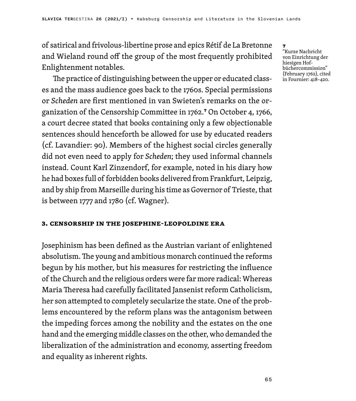of satirical and frivolous-libertine prose and epics Rétif de La Bretonne and Wieland round off the group of the most frequently prohibited Enlightenment notables.

The practice of distinguishing between the upper or educated classes and the mass audience goes back to the 1760s. Special permissions or *Scheden* are first mentioned in van Swieten's remarks on the organization of the Censorship Committee in 1762.<sup>7</sup> On October 4, 1766, a court decree stated that books containing only a few objectionable sentences should henceforth be allowed for use by educated readers (cf. Lavandier: 90). Members of the highest social circles generally did not even need to apply for *Scheden*; they used informal channels instead. Count Karl Zinzendorf, for example, noted in his diary how he had boxes full of forbidden books delivered from Frankfurt, Leipzig, and by ship from Marseille during his time as Governor of Trieste, that is between 1777 and 1780 (cf. Wagner).

### **3. Censorship in the Josephine-Leopoldine Era**

Josephinism has been defined as the Austrian variant of enlightened absolutism. The young and ambitious monarch continued the reforms begun by his mother, but his measures for restricting the influence of the Church and the religious orders were far more radical: Whereas Maria Theresa had carefully facilitated Jansenist reform Catholicism, her son attempted to completely secularize the state. One of the problems encountered by the reform plans was the antagonism between the impeding forces among the nobility and the estates on the one hand and the emerging middle classes on the other, who demanded the liberalization of the administration and economy, asserting freedom and equality as inherent rights.

"Kurze Nachricht von Einrichtung der hiesigen Hofbüchercommission" (February 1762), cited in Fournier: 418–420.

7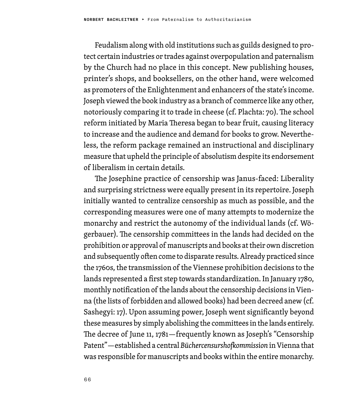Feudalism along with old institutions such as guilds designed to protect certain industries or trades against overpopulation and paternalism by the Church had no place in this concept. New publishing houses, printer's shops, and booksellers, on the other hand, were welcomed as promoters of the Enlightenment and enhancers of the state's income. Joseph viewed the book industry as a branch of commerce like any other, notoriously comparing it to trade in cheese (cf. Plachta: 70). The school reform initiated by Maria Theresa began to bear fruit, causing literacy to increase and the audience and demand for books to grow. Nevertheless, the reform package remained an instructional and disciplinary measure that upheld the principle of absolutism despite its endorsement of liberalism in certain details.

The Josephine practice of censorship was Janus-faced: Liberality and surprising strictness were equally present in its repertoire. Joseph initially wanted to centralize censorship as much as possible, and the corresponding measures were one of many attempts to modernize the monarchy and restrict the autonomy of the individual lands (cf. Wögerbauer). The censorship committees in the lands had decided on the prohibition or approval of manuscripts and books at their own discretion and subsequently often come to disparate results. Already practiced since the 1760s, the transmission of the Viennese prohibition decisions to the lands represented a first step towards standardization. In January 1780, monthly notification of the lands about the censorship decisions in Vienna (the lists of forbidden and allowed books) had been decreed anew (cf. Sashegyi: 17). Upon assuming power, Joseph went significantly beyond these measures by simply abolishing the committees in the lands entirely. The decree of June 11, 1781—frequently known as Joseph's "Censorship Patent"—established a central *Büchercensurshofkommission* in Vienna that was responsible for manuscripts and books within the entire monarchy.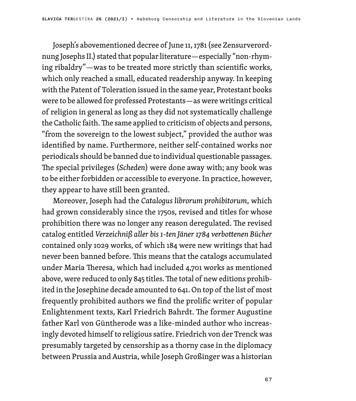Joseph's abovementioned decree of June 11, 1781 (see Zensurverordnung Josephs II.) stated that popular literature—especially "non-rhyming ribaldry"—was to be treated more strictly than scientific works, which only reached a small, educated readership anyway. In keeping with the Patent of Toleration issued in the same year, Protestant books were to be allowed for professed Protestants—as were writings critical of religion in general as long as they did not systematically challenge the Catholic faith. The same applied to criticism of objects and persons, "from the sovereign to the lowest subject," provided the author was identified by name. Furthermore, neither self-contained works nor periodicals should be banned due to individual questionable passages. The special privileges (*Scheden*) were done away with; any book was to be either forbidden or accessible to everyone. In practice, however, they appear to have still been granted.

Moreover, Joseph had the *Catalogus librorum prohibitorum*, which had grown considerably since the 1750s, revised and titles for whose prohibition there was no longer any reason deregulated. The revised catalog entitled *Verzeichniß aller bis 1-ten Jäner 1784 verbottenen Bücher* contained only 1029 works, of which 184 were new writings that had never been banned before. This means that the catalogs accumulated under Maria Theresa, which had included 4,701 works as mentioned above, were reduced to only 845 titles. The total of new editions prohibited in the Josephine decade amounted to 641. On top of the list of most frequently prohibited authors we find the prolific writer of popular Enlightenment texts, Karl Friedrich Bahrdt. The former Augustine father Karl von Güntherode was a like-minded author who increasingly devoted himself to religious satire. Friedrich von der Trenck was presumably targeted by censorship as a thorny case in the diplomacy between Prussia and Austria, while Joseph Großinger was a historian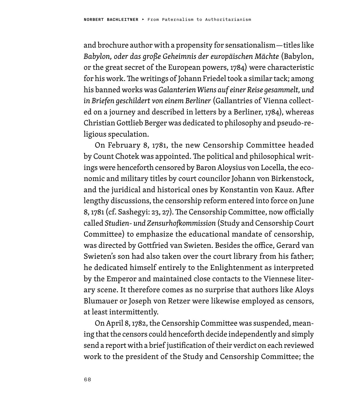and brochure author with a propensity for sensationalism—titles like *Babylon, oder das große Geheimnis der europäischen Mächte* (Babylon, or the great secret of the European powers, 1784) were characteristic for his work. The writings of Johann Friedel took a similar tack; among his banned works was *Galanterien Wiens auf einer Reise gesammelt, und in Briefen geschildert von einem Berliner* (Gallantries of Vienna collected on a journey and described in letters by a Berliner, 1784), whereas Christian Gottlieb Berger was dedicated to philosophy and pseudo-religious speculation.

On February 8, 1781, the new Censorship Committee headed by Count Chotek was appointed. The political and philosophical writings were henceforth censored by Baron Aloysius von Locella, the economic and military titles by court councilor Johann von Birkenstock, and the juridical and historical ones by Konstantin von Kauz. After lengthy discussions, the censorship reform entered into force on June 8, 1781 (cf. Sashegyi: 23, 27). The Censorship Committee, now officially called *Studien- und Zensurhofkommission* (Study and Censorship Court Committee) to emphasize the educational mandate of censorship, was directed by Gottfried van Swieten. Besides the office, Gerard van Swieten's son had also taken over the court library from his father; he dedicated himself entirely to the Enlightenment as interpreted by the Emperor and maintained close contacts to the Viennese literary scene. It therefore comes as no surprise that authors like Aloys Blumauer or Joseph von Retzer were likewise employed as censors, at least intermittently.

On April 8, 1782, the Censorship Committee was suspended, meaning that the censors could henceforth decide independently and simply send a report with a brief justification of their verdict on each reviewed work to the president of the Study and Censorship Committee; the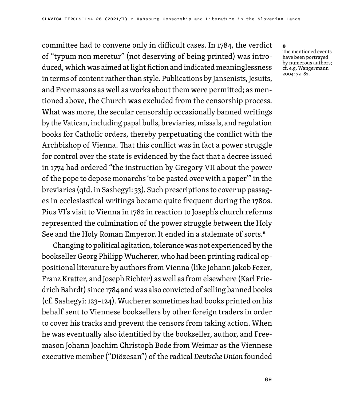committee had to convene only in difficult cases. In 1784, the verdict of "typum non meretur" (not deserving of being printed) was introduced, which was aimed at light fiction and indicated meaninglessness in terms of content rather than style. Publications by Jansenists, Jesuits, and Freemasons as well as works about them were permitted; as mentioned above, the Church was excluded from the censorship process. What was more, the secular censorship occasionally banned writings by the Vatican, including papal bulls, breviaries, missals, and regulation books for Catholic orders, thereby perpetuating the conflict with the Archbishop of Vienna. That this conflict was in fact a power struggle for control over the state is evidenced by the fact that a decree issued in 1774 had ordered "the instruction by Gregory VII about the power of the pope to depose monarchs 'to be pasted over with a paper'" in the breviaries (qtd. in Sashegyi: 33). Such prescriptions to cover up passages in ecclesiastical writings became quite frequent during the 1780s. Pius VI's visit to Vienna in 1782 in reaction to Joseph's church reforms represented the culmination of the power struggle between the Holy See and the Holy Roman Emperor. It ended in a stalemate of sorts.<sup>8</sup>

Changing to political agitation, tolerance was not experienced by the bookseller Georg Philipp Wucherer, who had been printing radical oppositional literature by authors from Vienna (like Johann Jakob Fezer, Franz Kratter, and Joseph Richter) as well as from elsewhere (Karl Friedrich Bahrdt) since 1784 and was also convicted of selling banned books (cf. Sashegyi: 123–124). Wucherer sometimes had books printed on his behalf sent to Viennese booksellers by other foreign traders in order to cover his tracks and prevent the censors from taking action. When he was eventually also identified by the bookseller, author, and Freemason Johann Joachim Christoph Bode from Weimar as the Viennese executive member ("Diözesan") of the radical *Deutsche Union* founded

#### 8 The mentioned events have been portrayed by numerous authors; cf. e.g. Wangermann 2004: 72–82.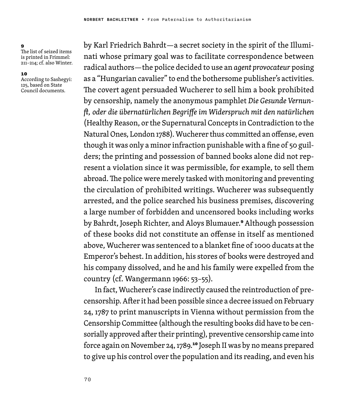$\alpha$ The list of seized items is printed in Frimmel: 211–214; cf. also Winter.

#### 10

According to Sashegyi: 125, based on State Council documents.

by Karl Friedrich Bahrdt—a secret society in the spirit of the Illuminati whose primary goal was to facilitate correspondence between radical authors—the police decided to use an *agent provocateur* posing as a "Hungarian cavalier" to end the bothersome publisher's activities. The covert agent persuaded Wucherer to sell him a book prohibited by censorship, namely the anonymous pamphlet *Die Gesunde Vernunft, oder die übernatürlichen Begriffe im Widerspruch mit den natürlichen* (Healthy Reason, or the Supernatural Concepts in Contradiction to the Natural Ones, London 1788). Wucherer thus committed an offense, even though it was only a minor infraction punishable with a fine of 50 guilders; the printing and possession of banned books alone did not represent a violation since it was permissible, for example, to sell them abroad. The police were merely tasked with monitoring and preventing the circulation of prohibited writings. Wucherer was subsequently arrested, and the police searched his business premises, discovering a large number of forbidden and uncensored books including works by Bahrdt, Joseph Richter, and Aloys Blumauer.<sup>9</sup> Although possession of these books did not constitute an offense in itself as mentioned above, Wucherer was sentenced to a blanket fine of 1000 ducats at the Emperor's behest. In addition, his stores of books were destroyed and his company dissolved, and he and his family were expelled from the country (cf. Wangermann 1966: 53–55).

In fact, Wucherer's case indirectly caused the reintroduction of precensorship. After it had been possible since a decree issued on February 24, 1787 to print manuscripts in Vienna without permission from the Censorship Committee (although the resulting books did have to be censorially approved after their printing), preventive censorship came into force again on November 24, 1789.<sup>10</sup> Joseph II was by no means prepared to give up his control over the population and its reading, and even his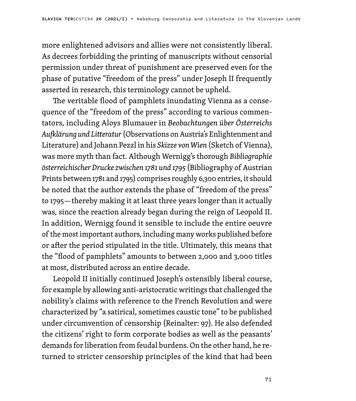more enlightened advisors and allies were not consistently liberal. As decrees forbidding the printing of manuscripts without censorial permission under threat of punishment are preserved even for the phase of putative "freedom of the press" under Joseph II frequently asserted in research, this terminology cannot be upheld.

The veritable flood of pamphlets inundating Vienna as a consequence of the "freedom of the press" according to various commentators, including Aloys Blumauer in *Beobachtungen über Österreichs Aufklärung und Litteratur* (Observations on Austria's Enlightenment and Literature) and Johann Pezzl in his *Skizze von Wien* (Sketch of Vienna), was more myth than fact. Although Wernigg's thorough *Bibliographie österreichischer Drucke zwischen 1781 und 1795* (Bibliography of Austrian Prints between 1781 and 1795) comprises roughly 6,300 entries, it should be noted that the author extends the phase of "freedom of the press" to 1795—thereby making it at least three years longer than it actually was, since the reaction already began during the reign of Leopold II. In addition, Wernigg found it sensible to include the entire oeuvre of the most important authors, including many works published before or after the period stipulated in the title. Ultimately, this means that the "flood of pamphlets" amounts to between 2,000 and 3,000 titles at most, distributed across an entire decade.

Leopold II initially continued Joseph's ostensibly liberal course, for example by allowing anti-aristocratic writings that challenged the nobility's claims with reference to the French Revolution and were characterized by "a satirical, sometimes caustic tone" to be published under circumvention of censorship (Reinalter: 97). He also defended the citizens' right to form corporate bodies as well as the peasants' demands for liberation from feudal burdens. On the other hand, he returned to stricter censorship principles of the kind that had been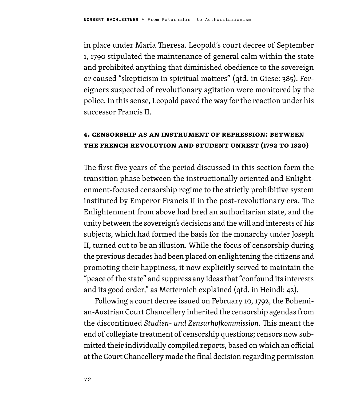in place under Maria Theresa. Leopold's court decree of September 1, 1790 stipulated the maintenance of general calm within the state and prohibited anything that diminished obedience to the sovereign or caused "skepticism in spiritual matters" (qtd. in Giese: 385). Foreigners suspected of revolutionary agitation were monitored by the police. In this sense, Leopold paved the way for the reaction under his successor Francis II.

## **4. Censorship as an Instrument of Repression: Between the French Revolution and Student Unrest (1792 to 1820)**

The first five years of the period discussed in this section form the transition phase between the instructionally oriented and Enlightenment-focused censorship regime to the strictly prohibitive system instituted by Emperor Francis II in the post-revolutionary era. The Enlightenment from above had bred an authoritarian state, and the unity between the sovereign's decisions and the will and interests of his subjects, which had formed the basis for the monarchy under Joseph II, turned out to be an illusion. While the focus of censorship during the previous decades had been placed on enlightening the citizens and promoting their happiness, it now explicitly served to maintain the "peace of the state" and suppress any ideas that "confound its interests and its good order," as Metternich explained (qtd. in Heindl: 42).

Following a court decree issued on February 10, 1792, the Bohemian-Austrian Court Chancellery inherited the censorship agendas from the discontinued *Studien- und Zensurhofkommission*. This meant the end of collegiate treatment of censorship questions; censors now submitted their individually compiled reports, based on which an official at the Court Chancellery made the final decision regarding permission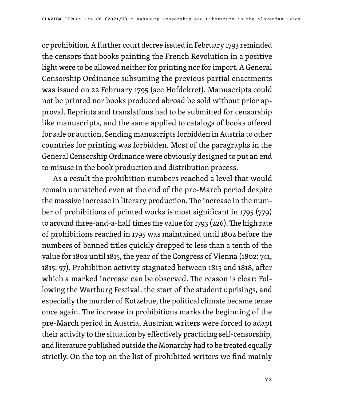or prohibition. A further court decree issued in February 1793 reminded the censors that books painting the French Revolution in a positive light were to be allowed neither for printing nor for import. A General Censorship Ordinance subsuming the previous partial enactments was issued on 22 February 1795 (see Hofdekret). Manuscripts could not be printed nor books produced abroad be sold without prior approval. Reprints and translations had to be submitted for censorship like manuscripts, and the same applied to catalogs of books offered for sale or auction. Sending manuscripts forbidden in Austria to other countries for printing was forbidden. Most of the paragraphs in the General Censorship Ordinance were obviously designed to put an end to misuse in the book production and distribution process.

As a result the prohibition numbers reached a level that would remain unmatched even at the end of the pre-March period despite the massive increase in literary production. The increase in the number of prohibitions of printed works is most significant in 1795 (779) to around three-and-a-half times the value for 1793 (226). The high rate of prohibitions reached in 1795 was maintained until 1802 before the numbers of banned titles quickly dropped to less than a tenth of the value for 1802 until 1815, the year of the Congress of Vienna (1802: 741, 1815: 57). Prohibition activity stagnated between 1815 and 1818, after which a marked increase can be observed. The reason is clear: Following the Wartburg Festival, the start of the student uprisings, and especially the murder of Kotzebue, the political climate became tense once again. The increase in prohibitions marks the beginning of the pre-March period in Austria. Austrian writers were forced to adapt their activity to the situation by effectively practicing self-censorship, and literature published outside the Monarchy had to be treated equally strictly. On the top on the list of prohibited writers we find mainly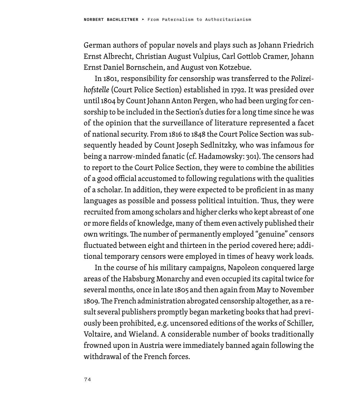German authors of popular novels and plays such as Johann Friedrich Ernst Albrecht, Christian August Vulpius, Carl Gottlob Cramer, Johann Ernst Daniel Bornschein, and August von Kotzebue.

In 1801, responsibility for censorship was transferred to the *Polizeihofstelle* (Court Police Section) established in 1792. It was presided over until 1804 by Count Johann Anton Pergen, who had been urging for censorship to be included in the Section's duties for a long time since he was of the opinion that the surveillance of literature represented a facet of national security. From 1816 to 1848 the Court Police Section was subsequently headed by Count Joseph Sedlnitzky, who was infamous for being a narrow-minded fanatic (cf. Hadamowsky: 301). The censors had to report to the Court Police Section, they were to combine the abilities of a good official accustomed to following regulations with the qualities of a scholar. In addition, they were expected to be proficient in as many languages as possible and possess political intuition. Thus, they were recruited from among scholars and higher clerks who kept abreast of one or more fields of knowledge, many of them even actively published their own writings. The number of permanently employed "genuine" censors fluctuated between eight and thirteen in the period covered here; additional temporary censors were employed in times of heavy work loads.

In the course of his military campaigns, Napoleon conquered large areas of the Habsburg Monarchy and even occupied its capital twice for several months, once in late 1805 and then again from May to November 1809. The French administration abrogated censorship altogether, as a result several publishers promptly began marketing books that had previously been prohibited, e.g. uncensored editions of the works of Schiller, Voltaire, and Wieland. A considerable number of books traditionally frowned upon in Austria were immediately banned again following the withdrawal of the French forces.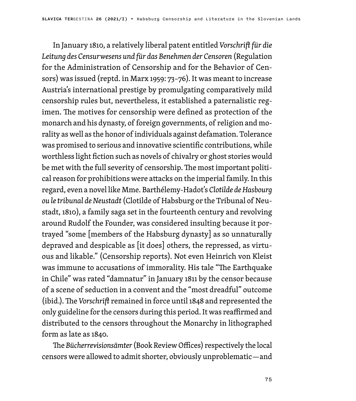In January 1810, a relatively liberal patent entitled *Vorschrift für die Leitung des Censurwesens und für das Benehmen der Censoren* (Regulation for the Administration of Censorship and for the Behavior of Censors) was issued (reptd. in Marx 1959: 73–76). It was meant to increase Austria's international prestige by promulgating comparatively mild censorship rules but, nevertheless, it established a paternalistic regimen. The motives for censorship were defined as protection of the monarch and his dynasty, of foreign governments, of religion and morality as well as the honor of individuals against defamation. Tolerance was promised to serious and innovative scientific contributions, while worthless light fiction such as novels of chivalry or ghost stories would be met with the full severity of censorship. The most important political reason for prohibitions were attacks on the imperial family. In this regard, even a novel like Mme. Barthélemy-Hadot's *Clotilde de Hasbourg ou le tribunal de Neustadt* (Clotilde of Habsburg or the Tribunal of Neustadt, 1810), a family saga set in the fourteenth century and revolving around Rudolf the Founder, was considered insulting because it portrayed "some [members of the Habsburg dynasty] as so unnaturally depraved and despicable as [it does] others, the repressed, as virtuous and likable." (Censorship reports). Not even Heinrich von Kleist was immune to accusations of immorality. His tale "The Earthquake in Chile" was rated "damnatur" in January 1811 by the censor because of a scene of seduction in a convent and the "most dreadful" outcome (ibid.). The *Vorschrift* remained in force until 1848 and represented the only guideline for the censors during this period. It was reaffirmed and distributed to the censors throughout the Monarchy in lithographed form as late as 1840.

The *Bücherrevisionsämter* (Book Review Offices) respectively the local censors were allowed to admit shorter, obviously unproblematic—and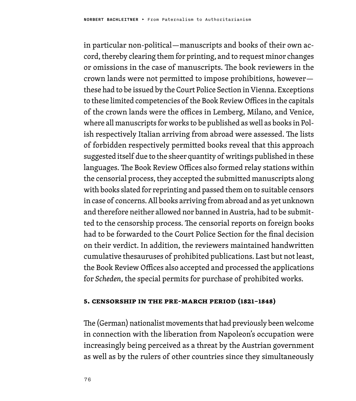in particular non-political—manuscripts and books of their own accord, thereby clearing them for printing, and to request minor changes or omissions in the case of manuscripts. The book reviewers in the crown lands were not permitted to impose prohibitions, however these had to be issued by the Court Police Section in Vienna. Exceptions to these limited competencies of the Book Review Offices in the capitals of the crown lands were the offices in Lemberg, Milano, and Venice, where all manuscripts for works to be published as well as books in Polish respectively Italian arriving from abroad were assessed. The lists of forbidden respectively permitted books reveal that this approach suggested itself due to the sheer quantity of writings published in these languages. The Book Review Offices also formed relay stations within the censorial process, they accepted the submitted manuscripts along with books slated for reprinting and passed them on to suitable censors in case of concerns. All books arriving from abroad and as yet unknown and therefore neither allowed nor banned in Austria, had to be submitted to the censorship process. The censorial reports on foreign books had to be forwarded to the Court Police Section for the final decision on their verdict. In addition, the reviewers maintained handwritten cumulative thesauruses of prohibited publications. Last but not least, the Book Review Offices also accepted and processed the applications for *Scheden*, the special permits for purchase of prohibited works.

### **5. Censorship in the pre-March Period (1821–1848)**

The (German) nationalist movements that had previously been welcome in connection with the liberation from Napoleon's occupation were increasingly being perceived as a threat by the Austrian government as well as by the rulers of other countries since they simultaneously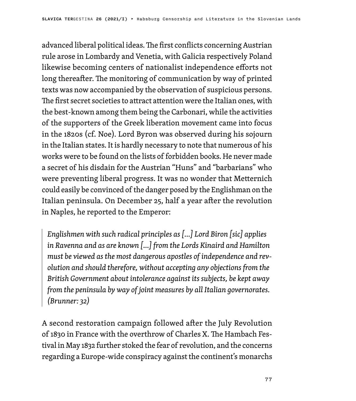advanced liberal political ideas. The first conflicts concerning Austrian rule arose in Lombardy and Venetia, with Galicia respectively Poland likewise becoming centers of nationalist independence efforts not long thereafter. The monitoring of communication by way of printed texts was now accompanied by the observation of suspicious persons. The first secret societies to attract attention were the Italian ones, with the best-known among them being the Carbonari, while the activities of the supporters of the Greek liberation movement came into focus in the 1820s (cf. Noe). Lord Byron was observed during his sojourn in the Italian states. It is hardly necessary to note that numerous of his works were to be found on the lists of forbidden books. He never made a secret of his disdain for the Austrian "Huns" and "barbarians" who were preventing liberal progress. It was no wonder that Metternich could easily be convinced of the danger posed by the Englishman on the Italian peninsula. On December 25, half a year after the revolution in Naples, he reported to the Emperor:

*Englishmen with such radical principles as […] Lord Biron [sic] applies in Ravenna and as are known […] from the Lords Kinaird and Hamilton must be viewed as the most dangerous apostles of independence and revolution and should therefore, without accepting any objections from the British Government about intolerance against its subjects, be kept away from the peninsula by way of joint measures by all Italian governorates. (Brunner: 32)*

A second restoration campaign followed after the July Revolution of 1830 in France with the overthrow of Charles X. The Hambach Festival in May 1832 further stoked the fear of revolution, and the concerns regarding a Europe-wide conspiracy against the continent's monarchs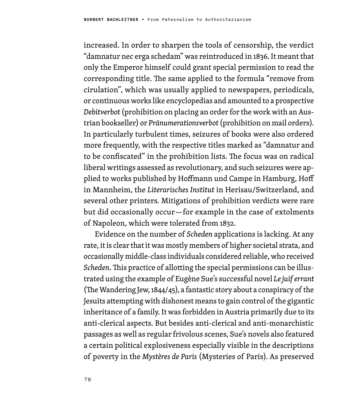increased. In order to sharpen the tools of censorship, the verdict "damnatur nec erga schedam" was reintroduced in 1836. It meant that only the Emperor himself could grant special permission to read the corresponding title. The same applied to the formula "remove from cirulation", which was usually applied to newspapers, periodicals, or continuous works like encyclopedias and amounted to a prospective *Debitverbot* (prohibition on placing an order for the work with an Austrian bookseller) or *Pränumerationsverbot* (prohibition on mail orders). In particularly turbulent times, seizures of books were also ordered more frequently, with the respective titles marked as "damnatur and to be confiscated" in the prohibition lists. The focus was on radical liberal writings assessed as revolutionary, and such seizures were applied to works published by Hoffmann und Campe in Hamburg, Hoff in Mannheim, the *Literarisches Institut* in Herisau/Switzerland, and several other printers. Mitigations of prohibition verdicts were rare but did occasionally occur—for example in the case of extolments of Napoleon, which were tolerated from 1832.

Evidence on the number of *Scheden* applications is lacking. At any rate, it is clear that it was mostly members of higher societal strata, and occasionally middle-class individuals considered reliable, who received *Scheden*. This practice of allotting the special permissions can be illustrated using the example of Eugène Sue's successful novel *Le juif errant* (The Wandering Jew, 1844/45), a fantastic story about a conspiracy of the Jesuits attempting with dishonest means to gain control of the gigantic inheritance of a family. It was forbidden in Austria primarily due to its anti-clerical aspects. But besides anti-clerical and anti-monarchistic passages as well as regular frivolous scenes, Sue's novels also featured a certain political explosiveness especially visible in the descriptions of poverty in the *Mystères de Paris* (Mysteries of Paris). As preserved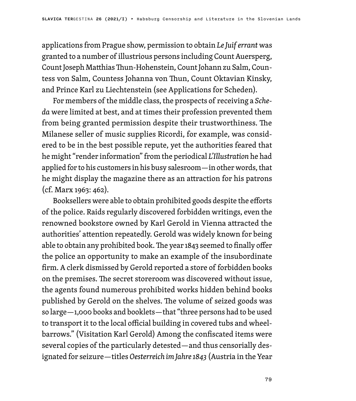applications from Prague show, permission to obtain *Le Juif errant* was granted to a number of illustrious persons including Count Auersperg, Count Joseph Matthias Thun-Hohenstein, Count Johann zu Salm, Countess von Salm, Countess Johanna von Thun, Count Oktavian Kinsky, and Prince Karl zu Liechtenstein (see Applications for Scheden).

For members of the middle class, the prospects of receiving a *Scheda* were limited at best, and at times their profession prevented them from being granted permission despite their trustworthiness. The Milanese seller of music supplies Ricordi, for example, was considered to be in the best possible repute, yet the authorities feared that he might "render information" from the periodical *L'Illustration* he had applied for to his customers in his busy salesroom—in other words, that he might display the magazine there as an attraction for his patrons (cf. Marx 1963: 462).

Booksellers were able to obtain prohibited goods despite the efforts of the police. Raids regularly discovered forbidden writings, even the renowned bookstore owned by Karl Gerold in Vienna attracted the authorities' attention repeatedly. Gerold was widely known for being able to obtain any prohibited book. The year 1843 seemed to finally offer the police an opportunity to make an example of the insubordinate firm. A clerk dismissed by Gerold reported a store of forbidden books on the premises. The secret storeroom was discovered without issue, the agents found numerous prohibited works hidden behind books published by Gerold on the shelves. The volume of seized goods was so large—1,000 books and booklets—that "three persons had to be used to transport it to the local official building in covered tubs and wheelbarrows." (Visitation Karl Gerold) Among the confiscated items were several copies of the particularly detested—and thus censorially designated for seizure—titles *Oesterreich im Jahre 1843* (Austria in the Year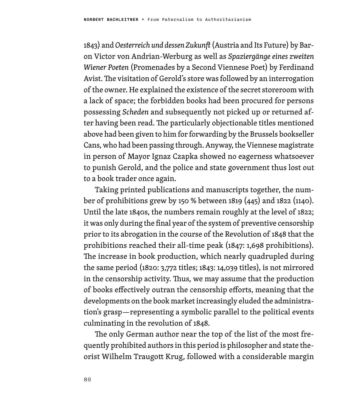1843) and *Oesterreich und dessen Zukunft* (Austria and Its Future) by Baron Victor von Andrian-Werburg as well as *Spaziergänge eines zweiten Wiener Poeten* (Promenades by a Second Viennese Poet) by Ferdinand Avist. The visitation of Gerold's store was followed by an interrogation of the owner. He explained the existence of the secret storeroom with a lack of space; the forbidden books had been procured for persons possessing *Scheden* and subsequently not picked up or returned after having been read. The particularly objectionable titles mentioned above had been given to him for forwarding by the Brussels bookseller Cans, who had been passing through. Anyway, the Viennese magistrate in person of Mayor Ignaz Czapka showed no eagerness whatsoever to punish Gerold, and the police and state government thus lost out to a book trader once again.

Taking printed publications and manuscripts together, the number of prohibitions grew by 150 % between 1819 (445) and 1822 (1140). Until the late 1840s, the numbers remain roughly at the level of 1822; it was only during the final year of the system of preventive censorship prior to its abrogation in the course of the Revolution of 1848 that the prohibitions reached their all-time peak (1847: 1,698 prohibitions). The increase in book production, which nearly quadrupled during the same period (1820: 3,772 titles; 1843: 14,039 titles), is not mirrored in the censorship activity. Thus, we may assume that the production of books effectively outran the censorship efforts, meaning that the developments on the book market increasingly eluded the administration's grasp—representing a symbolic parallel to the political events culminating in the revolution of 1848.

The only German author near the top of the list of the most frequently prohibited authors in this period is philosopher and state theorist Wilhelm Traugott Krug, followed with a considerable margin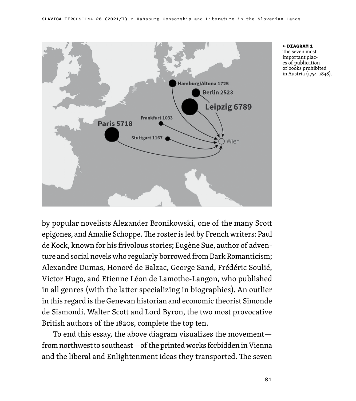

← DIAGRAM 1 The seven most important places of publication of books prohibited in Austria (1754–1848).

by popular novelists Alexander Bronikowski, one of the many Scott epigones, and Amalie Schoppe. The roster is led by French writers: Paul de Kock, known for his frivolous stories; Eugène Sue, author of adventure and social novels who regularly borrowed from Dark Romanticism; Alexandre Dumas, Honoré de Balzac, George Sand, Frédéric Soulié, Victor Hugo, and Etienne Léon de Lamothe-Langon, who published in all genres (with the latter specializing in biographies). An outlier in this regard is the Genevan historian and economic theorist Simonde de Sismondi. Walter Scott and Lord Byron, the two most provocative British authors of the 1820s, complete the top ten.

To end this essay, the above diagram visualizes the movement from northwest to southeast—of the printed works forbidden in Vienna and the liberal and Enlightenment ideas they transported. The seven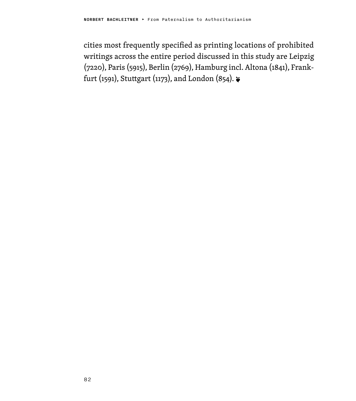cities most frequently specified as printing locations of prohibited writings across the entire period discussed in this study are Leipzig (7220), Paris (5915), Berlin (2769), Hamburg incl. Altona (1841), Frankfurt (1591), Stuttgart (1173), and London (854).  $\epsilon$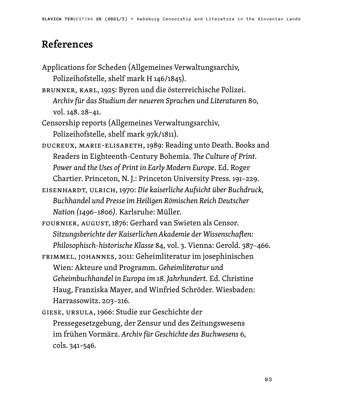# References

- Applications for Scheden (Allgemeines Verwaltungsarchiv, Polizeihofstelle, shelf mark H 146/1845).
- BRUNNER, KARL, 1925: Byron und die österreichische Polizei. *Archiv für das Studium der neueren Sprachen und Literaturen* 80, vol. 148. 28–41.
- Censorship reports (Allgemeines Verwaltungsarchiv, Polizeihofstelle, shelf mark 97k/1811).
- DUCREUX, MARIE-ELISABETH, 1989: Reading unto Death. Books and Readers in Eighteenth-Century Bohemia. *The Culture of Print. Power and the Uses of Print in Early Modern Europe*. Ed. Roger Chartier. Princeton, N. J.: Princeton University Press. 191–229.
- EISENHARDT, ULRICH, 1970: *Die kaiserliche Aufsicht über Buchdruck, Buchhandel und Presse im Heiligen Römischen Reich Deutscher Nation (1496–1806).* Karlsruhe: Müller.
- FOURNIER, AUGUST, 1876: Gerhard van Swieten als Censor. *Sitzungsberichte der Kaiserlichen Akademie der Wissenschaften: Philosophisch-historische Klasse* 84, vol. 3. Vienna: Gerold. 387–466.
- FRIMMEL, JOHANNES, 2011: Geheimliteratur im josephinischen Wien: Akteure und Programm. *Geheimliteratur und Geheimbuchhandel in Europa im 18. Jahrhundert.* Ed. Christine Haug, Franziska Mayer, and Winfried Schröder. Wiesbaden: Harrassowitz. 203–216.
- GIESE, URSULA, 1966: Studie zur Geschichte der Pressegesetzgebung, der Zensur und des Zeitungswesens im frühen Vormärz. *Archiv für Geschichte des Buchwesens* 6, cols. 341–546.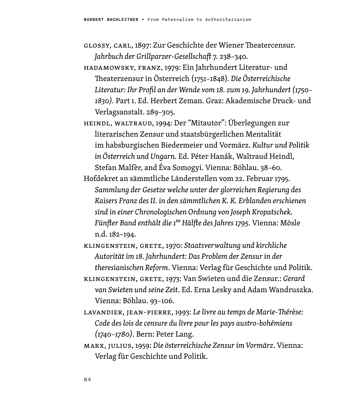- GLOSSY, CARL, 1897: Zur Geschichte der Wiener Theatercensur. *Jahrbuch der Grillparzer-Gesellschaft* 7. 238–340.
- HADAMOWSKY, FRANZ, 1979: Ein Jahrhundert Literatur- und Theaterzensur in Österreich (1751–1848). *Die Österreichische Literatur: Ihr Profil an der Wende vom 18. zum 19. Jahrhundert (1750– 1830).* Part 1. Ed. Herbert Zeman. Graz: Akademische Druck- und Verlagsanstalt. 289–305.
- HEINDL, WALTRAUD, 1994: Der "Mitautor": Überlegungen zur literarischen Zensur und staatsbürgerlichen Mentalität im habsburgischen Biedermeier und Vormärz. *Kultur und Politik in Österreich und Ungarn.* Ed. Péter Hanák, Waltraud Heindl, Stefan Malfèr, and Éva Somogyi. Vienna: Böhlau. 38–60.
- Hofdekret an sämmtliche Länderstellen vom 22. Februar 1795. *Sammlung der Gesetze welche unter der glorreichen Regierung des Kaisers Franz des II. in den sämmtlichen K. K. Erblanden erschienen sind in einer Chronologischen Ordnung von Joseph Kropatschek. Fünfter Band enthält die 1*te *Hälfte des Jahres 1795.* Vienna: Mösle n.d. 182–194.
- KLINGENSTEIN, GRETE, 1970: *Staatsverwaltung und kirchliche Autorität im 18. Jahrhundert: Das Problem der Zensur in der theresianischen Reform*. Vienna: Verlag für Geschichte und Politik.
- KLINGENSTEIN, GRETE, 1973: Van Swieten und die Zensur.: *Gerard van Swieten und seine Zeit*. Ed. Erna Lesky and Adam Wandruszka. Vienna: Böhlau. 93–106.
- LAVANDIER, JEAN-PIERRE, 1993: *Le livre au temps de Marie-Thérèse: Code des lois de censure du livre pour les pays austro-bohémiens (1740–1780).* Bern: Peter Lang.
- MARX, JULIUS, 1959: *Die österreichische Zensur im Vormärz*. Vienna: Verlag für Geschichte und Politik.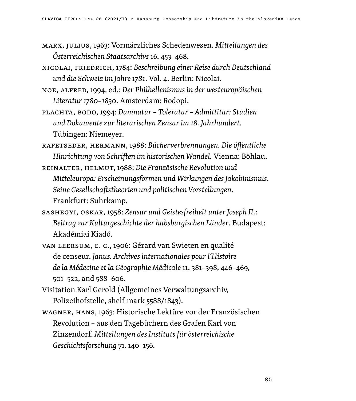- MARX, JULIUS, 1963: Vormärzliches Schedenwesen. *Mitteilungen des Österreichischen Staatsarchivs* 16. 453–468.
- NICOLAI, FRIEDRICH, 1784: *Beschreibung einer Reise durch Deutschland und die Schweiz im Jahre 1781*. Vol. 4. Berlin: Nicolai.
- NOE, ALFRED, 1994, ed.: *Der Philhellenismus in der westeuropäischen Literatur 1780–1830*. Amsterdam: Rodopi.
- PLACHTA, BODO, 1994: *Damnatur Toleratur Admittitur: Studien und Dokumente zur literarischen Zensur im 18. Jahrhundert*. Tübingen: Niemeyer.
- RAFETSEDER, HERMANN, 1988: *Bücherverbrennungen. Die öffentliche Hinrichtung von Schriften im historischen Wandel.* Vienna: Böhlau.
- REINALTER, HELMUT, 1988: *Die Französische Revolution und Mitteleuropa: Erscheinungsformen und Wirkungen des Jakobinismus. Seine Gesellschaftstheorien und politischen Vorstellungen*. Frankfurt: Suhrkamp.
- SASHEGYI, OSKAR, 1958: *Zensur und Geistesfreiheit unter Joseph II.: Beitrag zur Kulturgeschichte der habsburgischen Länder*. Budapest: Akadémiai Kiadó.
- VAN LEERSUM, E. C., 1906: Gérard van Swieten en qualité de censeur. *Janus. Archives internationales pour l'Histoire de la Médecine et la Géographie Médicale* 11. 381–398, 446–469, 501–522, and 588–606.
- Visitation Karl Gerold (Allgemeines Verwaltungsarchiv, Polizeihofstelle, shelf mark 5588/1843).
- WAGNER, HANS, 1963: Historische Lektüre vor der Französischen Revolution – aus den Tagebüchern des Grafen Karl von Zinzendorf. *Mitteilungen des Instituts für österreichische Geschichtsforschung* 71. 140–156.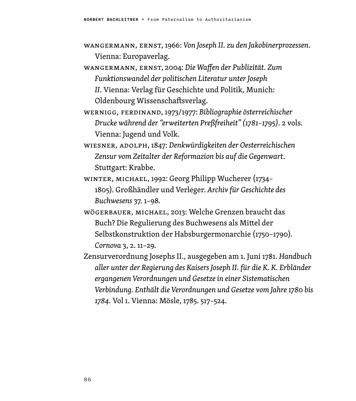- WANGERMANN, ERNST, 1966: *Von Joseph II. zu den Jakobinerprozessen*. Vienna: Europaverlag.
- WANGERMANN, ERNST, 2004: *Die Waffen der Publizität. Zum Funktionswandel der politischen Literatur unter Joseph II*. Vienna: Verlag für Geschichte und Politik, Munich: Oldenbourg Wissenschaftsverlag.
- WERNIGG, FERDINAND, 1973/1977: *Bibliographie österreichischer Drucke während der "erweiterten Preßfreiheit" (1781–1795).* 2 vols. Vienna: Jugend und Volk.
- WIESNER, ADOLPH, 1847: *Denkwürdigkeiten der Oesterreichischen Zensur vom Zeitalter der Reformazion bis auf die Gegenwart*. Stuttgart: Krabbe.
- WINTER, MICHAEL, 1992: Georg Philipp Wucherer (1734– 1805). Großhändler und Verleger. *Archiv für Geschichte des Buchwesens* 37. 1–98.
- WÖGERBAUER, MICHAEL, 2013: Welche Grenzen braucht das Buch? Die Regulierung des Buchwesens als Mittel der Selbstkonstruktion der Habsburgermonarchie (1750–1790). *Cornova* 3, 2. 11–29.
- Zensurverordnung Josephs II., ausgegeben am 1. Juni 1781. *Handbuch aller unter der Regierung des Kaisers Joseph II. für die K. K. Erbländer ergangenen Verordnungen und Gesetze in einer Sistematischen Verbindung. Enthält die Verordnungen und Gesetze vom Jahre 1780 bis 1784.* Vol 1. Vienna: Mösle, 1785. 517–524.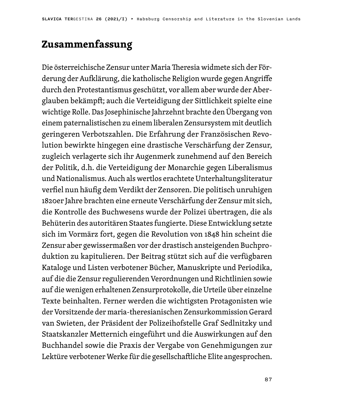# **Zusammenfassung**

Die österreichische Zensur unter Maria Theresia widmete sich der Förderung der Aufklärung, die katholische Religion wurde gegen Angriffe durch den Protestantismus geschützt, vor allem aber wurde der Aberglauben bekämpft; auch die Verteidigung der Sittlichkeit spielte eine wichtige Rolle. Das Josephinische Jahrzehnt brachte den Übergang von einem paternalistischen zu einem liberalen Zensursystem mit deutlich geringeren Verbotszahlen. Die Erfahrung der Französischen Revolution bewirkte hingegen eine drastische Verschärfung der Zensur, zugleich verlagerte sich ihr Augenmerk zunehmend auf den Bereich der Politik, d.h. die Verteidigung der Monarchie gegen Liberalismus und Nationalismus. Auch als wertlos erachtete Unterhaltungsliteratur verfiel nun häufig dem Verdikt der Zensoren. Die politisch unruhigen 1820er Jahre brachten eine erneute Verschärfung der Zensur mit sich, die Kontrolle des Buchwesens wurde der Polizei übertragen, die als Behüterin des autoritären Staates fungierte. Diese Entwicklung setzte sich im Vormärz fort, gegen die Revolution von 1848 hin scheint die Zensur aber gewissermaßen vor der drastisch ansteigenden Buchproduktion zu kapitulieren. Der Beitrag stützt sich auf die verfügbaren Kataloge und Listen verbotener Bücher, Manuskripte und Periodika, auf die die Zensur regulierenden Verordnungen und Richtlinien sowie auf die wenigen erhaltenen Zensurprotokolle, die Urteile über einzelne Texte beinhalten. Ferner werden die wichtigsten Protagonisten wie der Vorsitzende der maria-theresianischen Zensurkommission Gerard van Swieten, der Präsident der Polizeihofstelle Graf Sedlnitzky und Staatskanzler Metternich eingeführt und die Auswirkungen auf den Buchhandel sowie die Praxis der Vergabe von Genehmigungen zur Lektüre verbotener Werke für die gesellschaftliche Elite angesprochen.